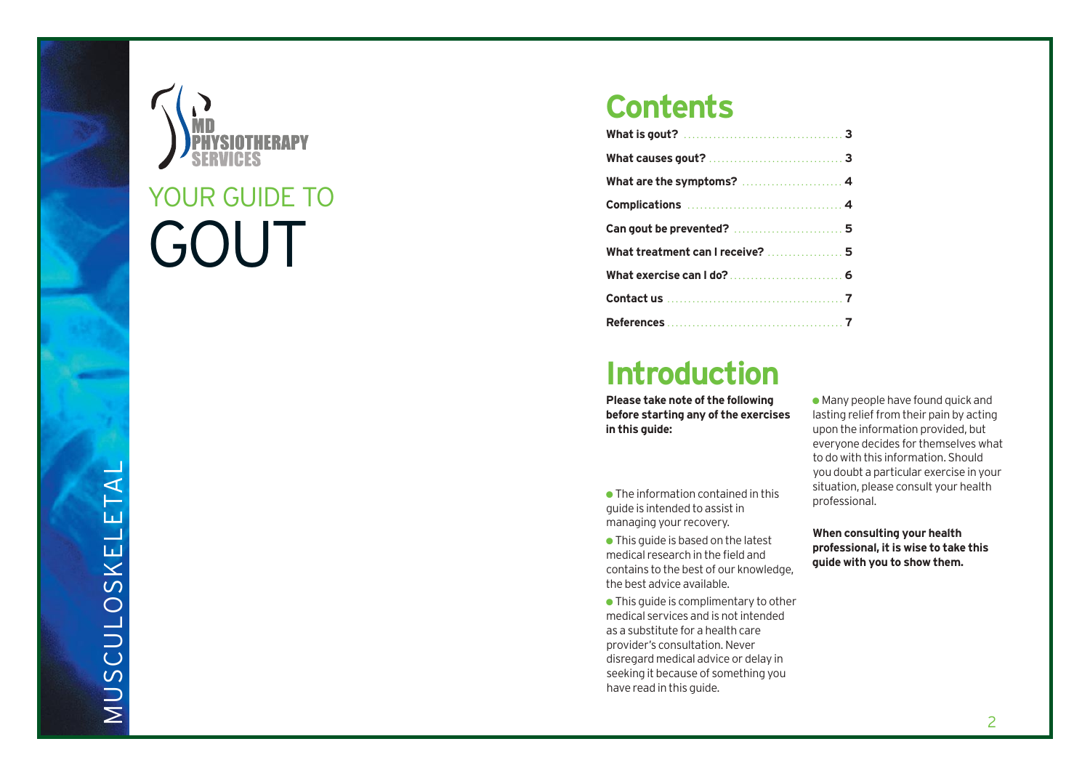



# GOUT YOUR GUIDE TO

# **Contents**

| What are the symptoms?  4        |  |
|----------------------------------|--|
|                                  |  |
| Can gout be prevented?  5        |  |
| What treatment can I receive?  5 |  |
|                                  |  |
|                                  |  |
|                                  |  |

# Introduction

Please take note of the following before starting any of the exercises **i n t h i s g u i d e :**

• The information contained in this guide is intended to assist in managing your recovery.

• This guide is based on the latest medical research in the field and contains to the best of our knowledge, the best advice available.

• This guide is complimentary to other medical services and is not intended as a substitute for a health care provider's consultation. Never disregard medical advice or delay in seeking it because of something you have read in this guide.

• Many people have found quick and lasting relief from their pain by acting upon the information provided, but everyone decides for themselves what to do with this information. Should you doubt a particular exercise in your situation, please consult your health professional.

When consulting your health professional, it is wise to take this guide with you to show them.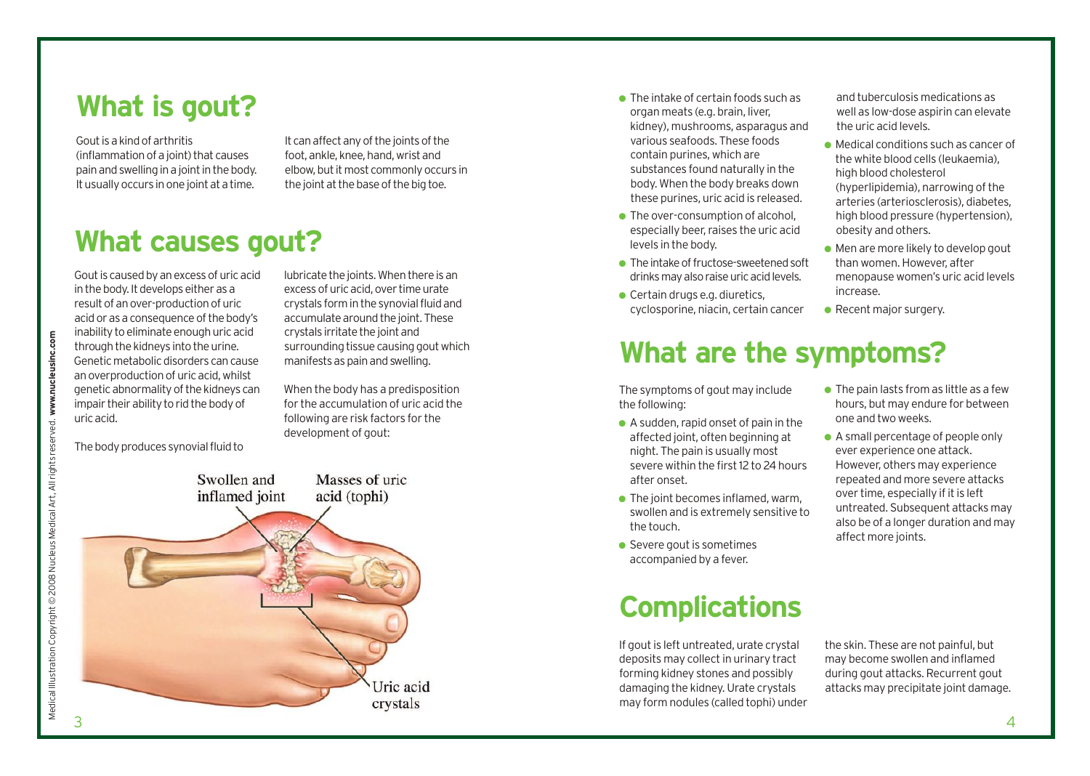### **What is gout?**

Goutisakindofarthritis (inflammation of a joint) that causes pain and swelling in a joint in the body. It usually occurs in one joint at a time.

It can affect any of the joints of the foot, ankle, knee, hand, wrist and elbow, but it most commonly occurs in the joint at the base of the big toe.

#### **What causes gout?**

Gout is caused by an excess of uric acid in the body. It develops either as a result of an over-production of uric acid or as a consequence of the body's inability to eliminate enough uric acid through the kidneys into the urine. Genetic metabolic disorders can cause an overproduction of uric acid, whilst genetic abnormality of the kidneys can impair their ability to rid the body of uricacid.

lubricate the joints. When there is an excessofuricacid,over timeurate crystals form in the synovial fluid and accumulate around the joint. These crystals irritate the joint and surrounding tissue causing gout which manifests as pain and swelling.

When the body has a predisposition for the accumulation of uric acid the following are risk factors for the development of gout:



- $\bullet$  The intake of certain foods such as organ meats (e.g. brain, liver, kidney), mushrooms, asparagus and various seafoods. These foods contain purines, which are substances found naturally in the body. When the body breaks down these purines, uric acid is released.
- $\bullet$  The over-consumption of alcohol. especially beer, raises the uric acid levels in the body.
- $\bullet$  The intake of fructose-sweetened soft drinksmayalsoraiseuricacidlevels.
- $\bullet$  Certain drugs e.g. diuretics, cyclosporine, niacin, certain cancer

and tuberculosis medications as well as low-dose aspirin can elevate the uric acid levels.

- Medical conditions such as cancer of the white blood cells (leukaemia), high blood cholesterol (hyperlipidemia), narrowing of the arteries (arteriosclerosis), diabetes, high blood pressure (hypertension), obesity and others.
- Men are more likely to develop gout than women. However, after menopause women's uric acid levels increase.
- Recent major surgery.

# **What are the symptoms?**

The symptoms of gout may include the following:

- $\bullet$  A sudden, rapid onset of pain in the affected joint, often beginning at night. The pain is usually most severe within the first 12 to 24 hours after onset.
- $\bullet$  The joint becomes inflamed, warm, swollen and is extremely sensitive to the touch.
- $\bullet$  Severe gout is sometimes accompanied by a fever.

#### **Complications**

If gout is left untreated, urate crystal deposits may collect in urinary tract forming kidney stones and possibly damaging the kidney.Urate crystals may form nodules (called tophi) under

- $\bullet$  The pain lasts from as little as a few hours, but may endure for between one and two weeks.
- A small percentage of people only ever experience one attack. However, others may experience repeated and more severe attacks over time, especially if it is left untreated. Subsequent attacks may also be of a longer duration and may affect more joints.

the skin. These are not painful, but may become swollen and inflamed during gout attacks.Recurrent gout attacks may precipitate joint damage.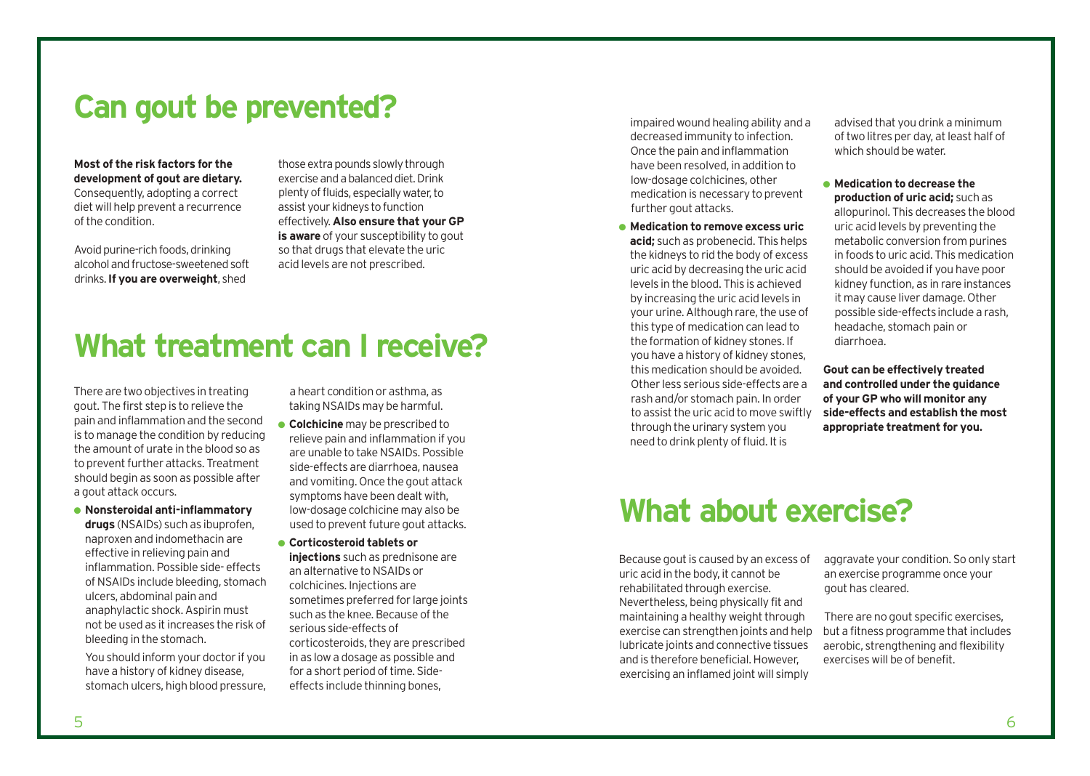# **Can gout be prevented?**

**Most of the risk factors for the development of gout are dietary.** Consequently, adopting a correct diet will help prevent a recurrence ofthe condition.

Avoid purine-rich foods, drinking alcoholandfructose-sweetenedsoft drinks.**If you are overweight**, shed

those extra pounds slowly through exerciseandabalanceddiet.Drink plentyoffluids,especiallywater,to assist your kidneys to function effectively.**Also ensure that your GP is aware** of your susceptibility to gout so that drugs that elevate the uric acid levels are not prescribed.

# **What treatment can I receive?**

There are two objectives in treating gout. The first step is to relieve the pain and inflammation and the second is to manage the condition by reducing the amount of urate in the blood so as to prevent further attacks. Treatment should begin as soon as possible after a gout attack occurs.

● **Nonsteroidal anti-inflammatory drugs** (NSAIDs) such as ibuprofen, naproxen and indomethacin are effective in relieving pain and inflammation. Possible side- effects of NSAIDs include bleeding, stomach ulcers, abdominal pain and anaphylactic shock.Aspirin must not be used as itincreases the risk of bleeding in the stomach.

You should inform your doctor if you have a history of kidney disease, stomach ulcers, high blood pressure, a heart condition or asthma, as taking NSAIDs may be harmful.

- **Colchicine** may be prescribed to relieve pain and inflammation if you are unable to take NSAIDs. Possible side-effects are diarrhoea, nausea and vomiting. Once the gout attack symptoms have been dealt with, low-dosage colchicine may also be used to prevent future gout attacks.
- **Corticosteroid tablets or injections** such as prednisone are an alternative to NSAIDs or colchicines. Injections are sometimes preferred for large joints such as the knee. Because of the serious side-effects of corticosteroids, they are prescribed in as low a dosage as possible and for a short period of time. Sideeffects include thinning bones,

impaired wound healing ability and a decreased immunity to infection. Once the pain and inflammation have been resolved, in addition to low-dosage colchicines, other medication is necessary to prevent further gout attacks.

● **Medication to remove excess uric acid;** such as probenecid. This helps the kidneys to rid the body of excess uric acid by decreasing the uric acid levels in the blood. This is achieved by increasing the uric acid levels in your urine. Although rare, the use of this type of medication can lead to the formation of kidney stones. If you have a history of kidney stones, this medication should be avoided. Other less serious side-effects are a rash and/or stomach pain. In order to assist the uric acid to move swiftly through the urinary system you need to drink plenty of fluid. It is

advised that you drink a minimum of two litres per day, at least half of which should be water.

● **Medication to decrease the production of uric acid;** such as allopurinol. This decreases the blood uric acid levels by preventing the metabolic conversion from purines in foods to uric acid. This medication should be avoided if you have poor kidney function, as in rare instances it may cause liver damage. Other possible side-effectsinclude a rash, headache, stomach pain or diarrhoea.

**Gout can be effectively treated and controlled under the guidance of your GP who will monitor any side-effects and establish the most appropriate treatment for you.**

# **What about exercise?**

Because gout is caused by an excess of uric acid in the body, it cannot be rehabilitated through exercise. Nevertheless, being physically fit and maintaining a healthy weight through exercise can strengthen joints and help lubricate joints and connective tissues and is therefore beneficial.However, exercising an inflamed joint will simply

aggravate your condition. So only start an exercise programme once your gout has cleared.

There are no gout specific exercises, but a fitness programme that includes aerobic, strengthening and flexibility exercises will be of benefit.